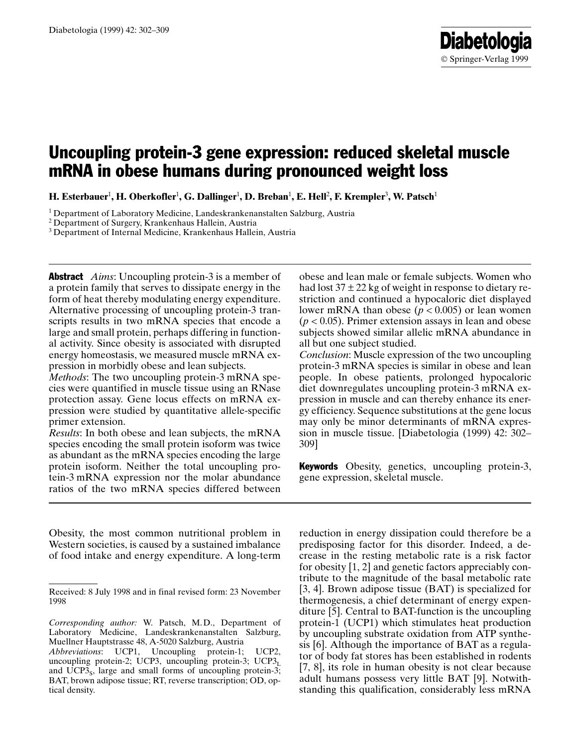# Uncoupling protein-3 gene expression: reduced skeletal muscle mRNA in obese humans during pronounced weight loss

H. Esterbauer $^1$ , H. Oberkofler $^1$ , G. Dallinger $^1$ , D. Breban $^1$ , E. Hell $^2$ , F. Krempler $^3$ , W. Patsch $^1$ 

<sup>1</sup> Department of Laboratory Medicine, Landeskrankenanstalten Salzburg, Austria

<sup>2</sup> Department of Surgery, Krankenhaus Hallein, Austria

<sup>3</sup> Department of Internal Medicine, Krankenhaus Hallein, Austria

**Abstract** Aims: Uncoupling protein-3 is a member of a protein family that serves to dissipate energy in the form of heat thereby modulating energy expenditure. Alternative processing of uncoupling protein-3 transcripts results in two mRNA species that encode a large and small protein, perhaps differing in functional activity. Since obesity is associated with disrupted energy homeostasis, we measured muscle mRNA expression in morbidly obese and lean subjects.

Methods: The two uncoupling protein-3 mRNA species were quantified in muscle tissue using an RNase protection assay. Gene locus effects on mRNA expression were studied by quantitative allele-specific primer extension.

Results: In both obese and lean subjects, the mRNA species encoding the small protein isoform was twice as abundant as the mRNA species encoding the large protein isoform. Neither the total uncoupling protein-3 mRNA expression nor the molar abundance ratios of the two mRNA species differed between

Obesity, the most common nutritional problem in Western societies, is caused by a sustained imbalance of food intake and energy expenditure. A long-term obese and lean male or female subjects. Women who had lost  $37 \pm 22$  kg of weight in response to dietary restriction and continued a hypocaloric diet displayed lower mRNA than obese ( $p < 0.005$ ) or lean women  $(p < 0.05)$ . Primer extension assays in lean and obese subjects showed similar allelic mRNA abundance in all but one subject studied.

Conclusion: Muscle expression of the two uncoupling protein-3 mRNA species is similar in obese and lean people. In obese patients, prolonged hypocaloric diet downregulates uncoupling protein-3 mRNA expression in muscle and can thereby enhance its energy efficiency. Sequence substitutions at the gene locus may only be minor determinants of mRNA expression in muscle tissue. [Diabetologia (1999) 42: 302– 309]

**Keywords** Obesity, genetics, uncoupling protein-3, gene expression, skeletal muscle.

reduction in energy dissipation could therefore be a predisposing factor for this disorder. Indeed, a decrease in the resting metabolic rate is a risk factor for obesity [1, 2] and genetic factors appreciably contribute to the magnitude of the basal metabolic rate [3, 4]. Brown adipose tissue (BAT) is specialized for thermogenesis, a chief determinant of energy expenditure [5]. Central to BAT-function is the uncoupling protein-1 (UCP1) which stimulates heat production by uncoupling substrate oxidation from ATP synthesis [6]. Although the importance of BAT as a regulator of body fat stores has been established in rodents [7, 8], its role in human obesity is not clear because adult humans possess very little BAT [9]. Notwithstanding this qualification, considerably less mRNA

Received: 8 July 1998 and in final revised form: 23 November 1998

Corresponding author: W. Patsch, M.D., Department of Laboratory Medicine, Landeskrankenanstalten Salzburg, Muellner Hauptstrasse 48, A-5020 Salzburg, Austria

Abbreviations: UCP1, Uncoupling protein-1; UCP2, uncoupling protein-2; UCP3, uncoupling protein-3; UCP3 $_L$ and  $\widehat{UCP3s}$ , large and small forms of uncoupling protein-3; BAT, brown adipose tissue; RT, reverse transcription; OD, optical density.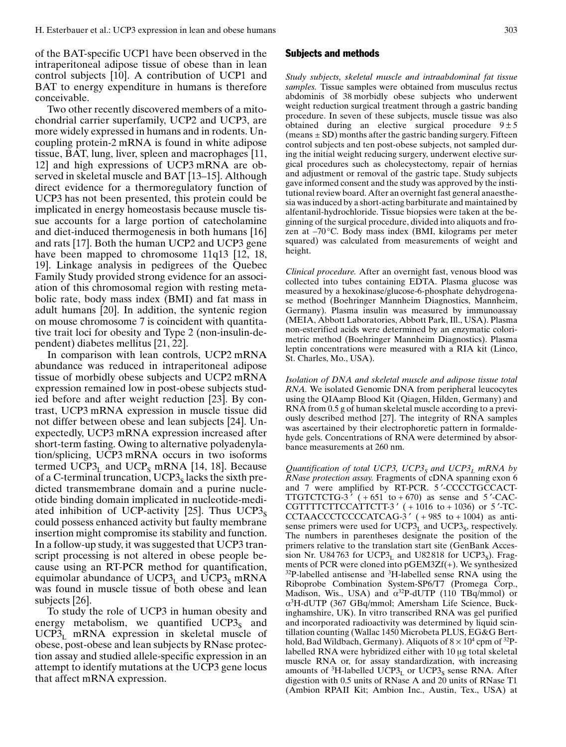of the BAT-specific UCP1 have been observed in the intraperitoneal adipose tissue of obese than in lean control subjects [10]. A contribution of UCP1 and BAT to energy expenditure in humans is therefore conceivable.

Two other recently discovered members of a mitochondrial carrier superfamily, UCP2 and UCP3, are more widely expressed in humans and in rodents. Uncoupling protein-2 mRNA is found in white adipose tissue, BAT, lung, liver, spleen and macrophages [11, 12] and high expressions of UCP3 mRNA are observed in skeletal muscle and BAT [13–15]. Although direct evidence for a thermoregulatory function of UCP3 has not been presented, this protein could be implicated in energy homeostasis because muscle tissue accounts for a large portion of catecholamine and diet-induced thermogenesis in both humans [16] and rats [17]. Both the human UCP2 and UCP3 gene have been mapped to chromosome 11q13 [12, 18, 19]. Linkage analysis in pedigrees of the Quebec Family Study provided strong evidence for an association of this chromosomal region with resting metabolic rate, body mass index (BMI) and fat mass in adult humans [20]. In addition, the syntenic region on mouse chromosome 7 is coincident with quantitative trait loci for obesity and Type 2 (non-insulin-dependent) diabetes mellitus [21, 22].

In comparison with lean controls, UCP2 mRNA abundance was reduced in intraperitoneal adipose tissue of morbidly obese subjects and UCP2 mRNA expression remained low in post-obese subjects studied before and after weight reduction [23]. By contrast, UCP3 mRNA expression in muscle tissue did not differ between obese and lean subjects [24]. Unexpectedly, UCP3 mRNA expression increased after short-term fasting. Owing to alternative polyadenylation/splicing, UCP3 mRNA occurs in two isoforms termed UCP3 $_L$  and UCP<sub>S</sub> mRNA [14, 18]. Because of a C-terminal truncation,  $UCP3<sub>s</sub>$  lacks the sixth predicted transmembrane domain and a purine nucleotide binding domain implicated in nucleotide-mediated inhibition of UCP-activity [25]. Thus  $UCP3<sub>S</sub>$ could possess enhanced activity but faulty membrane insertion might compromise its stability and function. In a follow-up study, it was suggested that UCP3 transcript processing is not altered in obese people because using an RT-PCR method for quantification, equimolar abundance of  $UCP3<sub>L</sub>$  and  $UCP3<sub>S</sub>$  mRNA was found in muscle tissue of both obese and lean subjects [26].

To study the role of UCP3 in human obesity and energy metabolism, we quantified  $UCP3<sub>S</sub>$  and  $UCP3<sub>L</sub>$  mRNA expression in skeletal muscle of obese, post-obese and lean subjects by RNase protection assay and studied allele-specific expression in an attempt to identify mutations at the UCP3 gene locus that affect mRNA expression.

### Subjects and methods

Study subjects, skeletal muscle and intraabdominal fat tissue samples. Tissue samples were obtained from musculus rectus abdominis of 38 morbidly obese subjects who underwent weight reduction surgical treatment through a gastric banding procedure. In seven of these subjects, muscle tissue was also obtained during an elective surgical procedure  $9 \pm 5$ (means  $\pm$  SD) months after the gastric banding surgery. Fifteen control subjects and ten post-obese subjects, not sampled during the initial weight reducing surgery, underwent elective surgical procedures such as cholecystectomy, repair of hernias and adjustment or removal of the gastric tape. Study subjects gave informed consent and the study was approved by the institutional review board. After an overnight fast general anaesthesia was induced by a short-acting barbiturate and maintained by alfentanil-hydrochloride. Tissue biopsies were taken at the beginning of the surgical procedure, divided into aliquots and frozen at  $-70^{\circ}$ C. Body mass index (BMI, kilograms per meter squared) was calculated from measurements of weight and height.

Clinical procedure. After an overnight fast, venous blood was collected into tubes containing EDTA. Plasma glucose was measured by a hexokinase/glucose-6-phosphate dehydrogenase method (Boehringer Mannheim Diagnostics, Mannheim, Germany). Plasma insulin was measured by immunoassay (MEIA, Abbott Laboratories, Abbott Park, Ill., USA). Plasma non-esterified acids were determined by an enzymatic colorimetric method (Boehringer Mannheim Diagnostics). Plasma leptin concentrations were measured with a RIA kit (Linco, St. Charles, Mo., USA).

Isolation of DNA and skeletal muscle and adipose tissue total RNA. We isolated Genomic DNA from peripheral leucocytes using the QIAamp Blood Kit (Qiagen, Hilden, Germany) and RNA from 0.5 g of human skeletal muscle according to a previously described method [27]. The integrity of RNA samples was ascertained by their electrophoretic pattern in formaldehyde gels. Concentrations of RNA were determined by absorbance measurements at 260 nm.

Quantification of total UCP3, UCP3<sub>S</sub> and UCP3<sub>L</sub> mRNA by RNase protection assay. Fragments of cDNA spanning exon 6 and 7 were amplified by RT-PCR. 5'-CCCCTGCCACT-TTGTCTCTG-3'  $(+651 \text{ to } +670)$  as sense and 5'-CAC-CGTTTTCTTCCATTCTT-3'  $(+1016$  to  $+1036)$  or 5'-TC-CCTAACCCTCCCCATCAG-3 ¢ ( + 985 to + 1004) as antisense primers were used for  $UCP3<sub>L</sub>$  and  $UCP3<sub>S</sub>$ , respectively. The numbers in parentheses designate the position of the primers relative to the translation start site (GenBank Accession Nr. U84763 for UCP3 $_L$  and U82818 for UCP3 $_S$ ). Fragments of PCR were cloned into pGEM3Zf(+). We synthesized  $32P$ -labelled antisense and  $3H$ -labelled sense RNA using the Riboprobe Combination System-SP6/T7 (Promega Corp., Madison, Wis., USA) and  $\alpha^{32}P$ -dUTP (110 TBq/mmol) or a3 H-dUTP (367 GBq/mmol; Amersham Life Science, Buckinghamshire, UK). In vitro transcribed RNA was gel purified and incorporated radioactivity was determined by liquid scintillation counting (Wallac 1450 Microbeta PLUS, EG&G Berthold, Bad Wildbach, Germany). Aliquots of  $8 \times 10^4$  cpm of  $^{32}P$ labelled RNA were hybridized either with 10 µg total skeletal muscle RNA or, for assay standardization, with increasing amounts of  ${}^{3}$ H-labelled UCP3<sub>L</sub> or UCP3<sub>S</sub> sense RNA. After digestion with 0.5 units of RNase A and 20 units of RNase T1 (Ambion RPAII Kit; Ambion Inc., Austin, Tex., USA) at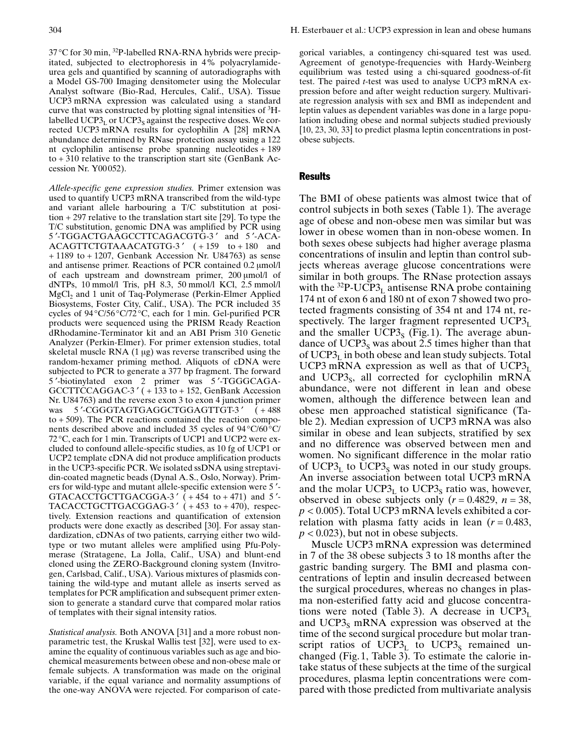37 °C for 30 min, 32P-labelled RNA-RNA hybrids were precipitated, subjected to electrophoresis in 4% polyacrylamideurea gels and quantified by scanning of autoradiographs with a Model GS-700 Imaging densitometer using the Molecular Analyst software (Bio-Rad, Hercules, Calif., USA). Tissue UCP3 mRNA expression was calculated using a standard curve that was constructed by plotting signal intensities of  ${}^{3}$ Hlabelled UCP $3<sub>L</sub>$  or UCP $3<sub>S</sub>$  against the respective doses. We corrected UCP3 mRNA results for cyclophilin A [28] mRNA abundance determined by RNase protection assay using a 122 nt cyclophilin antisense probe spanning nucleotides + 189 to + 310 relative to the transcription start site (GenBank Accession Nr. Y00 052).

Allele-specific gene expression studies. Primer extension was used to quantify UCP3 mRNA transcribed from the wild-type and variant allele harbouring a T/C substitution at position + 297 relative to the translation start site [29]. To type the T/C substitution, genomic DNA was amplified by PCR using 5'-TGGACTGAAGCCTTCAGACGTG-3' and 5'-ACA-ACAGTTCTGTAAACATGTG-3' (+159 to +180 and  $+ 1189$  to  $+ 1207$ , Genbank Accession Nr. U84763) as sense and antisense primer. Reactions of PCR contained 0.2  $\mu$ mol/l of each upstream and downstream primer, 200 µmol/l of dNTPs, 10 mmol/l Tris, pH 8.3, 50 mmol/l KCl, 2.5 mmol/l MgCl<sub>2</sub> and 1 unit of Taq-Polymerase (Perkin-Elmer Applied Biosystems, Foster City, Calif., USA). The PCR included 35 cycles of 94 °C/56 °C/72 °C, each for 1 min. Gel-purified PCR products were sequenced using the PRISM Ready Reaction dRhodamine-Terminator kit and an ABI Prism 310 Genetic Analyzer (Perkin-Elmer). For primer extension studies, total skeletal muscle RNA  $(1 \mu g)$  was reverse transcribed using the random-hexamer priming method. Aliquots of cDNA were subjected to PCR to generate a 377 bp fragment. The forward 5'-biotinylated exon 2 primer was 5'-TGGGCAGA-GCCTTCCAGGAC-3' (+133 to +152, GenBank Accession Nr. U84 763) and the reverse exon 3 to exon 4 junction primer was 5'-CGGGTAGTGAGGCTGGAGTTGT-3'  $(+488$  $to + 509$ ). The PCR reactions contained the reaction components described above and included 35 cycles of 94°C/60 °C/ 72 °C, each for 1 min. Transcripts of UCP1 and UCP2 were excluded to confound allele-specific studies, as 10 fg of UCP1 or UCP2 template cDNA did not produce amplification products in the UCP3-specific PCR. We isolated ssDNA using streptavidin-coated magnetic beads (Dynal A. S., Oslo, Norway). Primers for wild-type and mutant allele-specific extension were 5'-GTACACCTGCTTGACGGA-3'  $( +454 \text{ to } +471)$  and 5'-TACACCTGCTTGACGGAG-3'  $( + 453 \text{ to } + 470)$ , respectively. Extension reactions and quantification of extension products were done exactly as described [30]. For assay standardization, cDNAs of two patients, carrying either two wildtype or two mutant alleles were amplified using Pfu-Polymerase (Stratagene, La Jolla, Calif., USA) and blunt-end cloned using the ZERO-Background cloning system (Invitrogen, Carlsbad, Calif., USA). Various mixtures of plasmids containing the wild-type and mutant allele as inserts served as templates for PCR amplification and subsequent primer extension to generate a standard curve that compared molar ratios of templates with their signal intensity ratios.

Statistical analysis. Both ANOVA [31] and a more robust nonparametric test, the Kruskal Wallis test [32], were used to examine the equality of continuous variables such as age and biochemical measurements between obese and non-obese male or female subjects. A transformation was made on the original variable, if the equal variance and normality assumptions of the one-way ANOVA were rejected. For comparison of categorical variables, a contingency chi-squared test was used. Agreement of genotype-frequencies with Hardy-Weinberg equilibrium was tested using a chi-squared goodness-of-fit test. The paired t-test was used to analyse UCP3 mRNA expression before and after weight reduction surgery. Multivariate regression analysis with sex and BMI as independent and leptin values as dependent variables was done in a large population including obese and normal subjects studied previously [10, 23, 30, 33] to predict plasma leptin concentrations in postobese subjects.

# Results

The BMI of obese patients was almost twice that of control subjects in both sexes (Table 1). The average age of obese and non-obese men was similar but was lower in obese women than in non-obese women. In both sexes obese subjects had higher average plasma concentrations of insulin and leptin than control subjects whereas average glucose concentrations were similar in both groups. The RNase protection assays with the  ${}^{32}P\text{-}UCP3<sub>L</sub>$  antisense RNA probe containing 174 nt of exon 6 and 180 nt of exon 7 showed two protected fragments consisting of 354 nt and 174 nt, respectively. The larger fragment represented  $UCP3<sub>L</sub>$ and the smaller  $UCP3<sub>s</sub>$  (Fig. 1). The average abundance of  $UCP3<sub>S</sub>$  was about 2.5 times higher than that of  $UCP3<sub>L</sub>$  in both obese and lean study subjects. Total UCP3 mRNA expression as well as that of UCP3 $_{\text{L}}$ and UCP3 $<sub>s</sub>$ , all corrected for cyclophilin mRNA</sub> abundance, were not different in lean and obese women, although the difference between lean and obese men approached statistical significance (Table 2). Median expression of UCP3 mRNA was also similar in obese and lean subjects, stratified by sex and no difference was observed between men and women. No significant difference in the molar ratio of UCP3 $_L$  to UCP3<sub>S</sub> was noted in our study groups. An inverse association between total UCP3 mRNA and the molar  $UCP3<sub>L</sub>$  to  $UCP3<sub>S</sub>$  ratio was, however, observed in obese subjects only  $(r = 0.4829, n = 38,$  $p < 0.005$ ). Total UCP3 mRNA levels exhibited a correlation with plasma fatty acids in lean  $(r = 0.483)$ ,  $p < 0.023$ , but not in obese subjects.

Muscle UCP3 mRNA expression was determined in 7 of the 38 obese subjects 3 to 18 months after the gastric banding surgery. The BMI and plasma concentrations of leptin and insulin decreased between the surgical procedures, whereas no changes in plasma non-esterified fatty acid and glucose concentrations were noted (Table 3). A decrease in  $UCP3<sub>L</sub>$ and  $UCP3<sub>S</sub>$  mRNA expression was observed at the time of the second surgical procedure but molar transcript ratios of UCP3 $_L$  to UCP3<sub>S</sub> remained unchanged (Fig. 1, Table 3). To estimate the calorie intake status of these subjects at the time of the surgical procedures, plasma leptin concentrations were compared with those predicted from multivariate analysis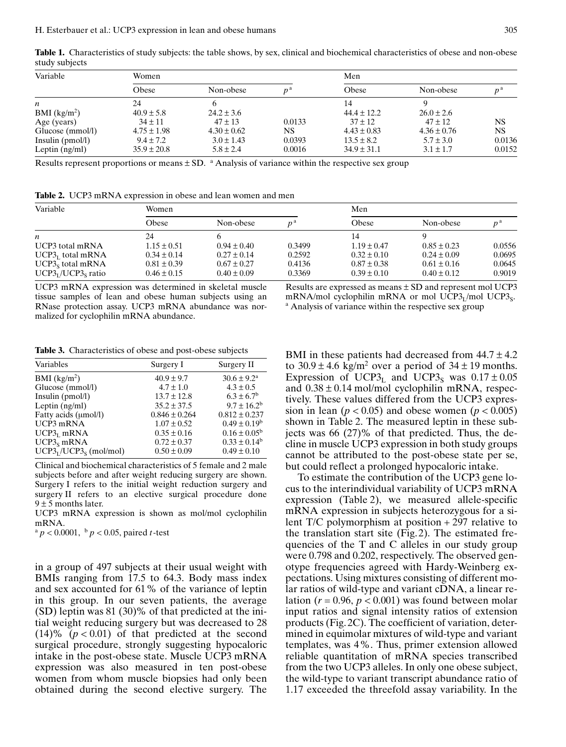Table 1. Characteristics of study subjects: the table shows, by sex, clinical and biochemical characteristics of obese and non-obese study subjects

| Variable                 | Women           |                 |        | Men             |                 |                |
|--------------------------|-----------------|-----------------|--------|-----------------|-----------------|----------------|
|                          | Obese           | Non-obese       |        | Obese           | Non-obese       | n <sup>a</sup> |
| n                        | 24              |                 |        | 14              |                 |                |
| BMI (kg/m <sup>2</sup> ) | $40.9 \pm 5.8$  | $24.2 \pm 3.6$  |        | $44.4 \pm 12.2$ | $26.0 \pm 2.6$  |                |
| Age (years)              | $34 \pm 11$     | $47 \pm 13$     | 0.0133 | $37 \pm 12$     | $47 \pm 12$     | NS             |
| Glucose (mmol/l)         | $4.75 \pm 1.98$ | $4.30 \pm 0.62$ | NS.    | $4.43 \pm 0.83$ | $4.36 \pm 0.76$ | NS             |
| Insulin $(pmol/l)$       | $9.4 \pm 7.2$   | $3.0 \pm 1.43$  | 0.0393 | $13.5 \pm 8.2$  | $5.7 \pm 3.0$   | 0.0136         |
| Leptin $(ng/ml)$         | $35.9 \pm 20.8$ | $5.8 \pm 2.4$   | 0.0016 | $34.9 \pm 31.1$ | $3.1 \pm 1.7$   | 0.0152         |

Results represent proportions or means  $\pm$  SD. <sup>a</sup> Analysis of variance within the respective sex group

Table 2. UCP3 mRNA expression in obese and lean women and men

| Variable            | Women           |                 |                | Men             |                 |             |
|---------------------|-----------------|-----------------|----------------|-----------------|-----------------|-------------|
|                     | Obese           | Non-obese       | n <sup>d</sup> | Obese           | Non-obese       | $n^{\rm a}$ |
| n                   | 24              |                 |                | 14              |                 |             |
| UCP3 total mRNA     | $1.15 \pm 0.51$ | $0.94 \pm 0.40$ | 0.3499         | $1.19 \pm 0.47$ | $0.85 \pm 0.23$ | 0.0556      |
| $UCP3r$ total mRNA  | $0.34 \pm 0.14$ | $0.27 \pm 0.14$ | 0.2592         | $0.32 \pm 0.10$ | $0.24 \pm 0.09$ | 0.0695      |
| $UCP3s$ total mRNA  | $0.81 \pm 0.39$ | $0.67 \pm 0.27$ | 0.4136         | $0.87 \pm 0.38$ | $0.61 \pm 0.16$ | 0.0645      |
| $UCP3I/UCP3s ratio$ | $0.46 \pm 0.15$ | $0.40 \pm 0.09$ | 0.3369         | $0.39 \pm 0.10$ | $0.40 \pm 0.12$ | 0.9019      |

UCP3 mRNA expression was determined in skeletal muscle tissue samples of lean and obese human subjects using an RNase protection assay. UCP3 mRNA abundance was normalized for cyclophilin mRNA abundance.

Results are expressed as means ± SD and represent mol UCP3 mRNA/mol cyclophilin mRNA or mol UCP3<sub>L</sub>/mol UCP3<sub>S</sub>. a Analysis of variance within the respective sex group

Table 3. Characteristics of obese and post-obese subjects

| Variables                | Surgery I         | Surgery II                 |
|--------------------------|-------------------|----------------------------|
| BMI (kg/m <sup>2</sup> ) | $40.9 \pm 9.7$    | $30.6 \pm 9.2^{\text{a}}$  |
| Glucose (mmol/l)         | $4.7 \pm 1.0$     | $4.3 \pm 0.5$              |
| Insulin $(pmol/l)$       | $13.7 \pm 12.8$   | $6.3 \pm 6.7$ <sup>b</sup> |
| Leptin $(ng/ml)$         | $35.2 \pm 37.5$   | $9.7 \pm 16.2^b$           |
| Fatty acids (µmol/l)     | $0.846 \pm 0.264$ | $0.812 \pm 0.237$          |
| UCP3 mRNA                | $1.07 \pm 0.52$   | $0.49 \pm 0.19^b$          |
| $UCP3r$ mRNA             | $0.35 \pm 0.16$   | $0.16 \pm 0.05^b$          |
| $UCP3s$ mRNA             | $0.72 \pm 0.37$   | $0.33 \pm 0.14^b$          |
| $UCP3I/UCP3S$ (mol/mol)  | $0.50 \pm 0.09$   | $0.49 \pm 0.10$            |

Clinical and biochemical characteristics of 5 female and 2 male subjects before and after weight reducing surgery are shown. Surgery I refers to the initial weight reduction surgery and surgery II refers to an elective surgical procedure done  $9 \pm 5$  months later.

UCP3 mRNA expression is shown as mol/mol cyclophilin mRNA.

 $a \cdot p < 0.0001$ ,  $b \cdot p < 0.05$ , paired t-test

in a group of 497 subjects at their usual weight with BMIs ranging from 17.5 to 64.3. Body mass index and sex accounted for 61% of the variance of leptin in this group. In our seven patients, the average (SD) leptin was 81 (30)% of that predicted at the initial weight reducing surgery but was decreased to 28  $(14)$ % ( $p < 0.01$ ) of that predicted at the second surgical procedure, strongly suggesting hypocaloric intake in the post-obese state. Muscle UCP3 mRNA expression was also measured in ten post-obese women from whom muscle biopsies had only been obtained during the second elective surgery. The BMI in these patients had decreased from  $44.7 \pm 4.2$ to  $30.9 \pm 4.6$  kg/m<sup>2</sup> over a period of  $34 \pm 19$  months. Expression of UCP3<sub>L</sub> and UCP3<sub>S</sub> was  $0.17 \pm 0.05$ and  $0.38 \pm 0.14$  mol/mol cyclophilin mRNA, respectively. These values differed from the UCP3 expression in lean ( $p < 0.05$ ) and obese women ( $p < 0.005$ ) shown in Table 2. The measured leptin in these subjects was 66 (27)% of that predicted. Thus, the decline in muscle UCP3 expression in both study groups cannot be attributed to the post-obese state per se, but could reflect a prolonged hypocaloric intake.

To estimate the contribution of the UCP3 gene locus to the interindividual variability of UCP3 mRNA expression (Table 2), we measured allele-specific mRNA expression in subjects heterozygous for a silent T/C polymorphism at position + 297 relative to the translation start site (Fig. 2). The estimated frequencies of the T and C alleles in our study group were 0.798 and 0.202, respectively. The observed genotype frequencies agreed with Hardy-Weinberg expectations. Using mixtures consisting of different molar ratios of wild-type and variant cDNA, a linear relation ( $r = 0.96$ ,  $p < 0.001$ ) was found between molar input ratios and signal intensity ratios of extension products (Fig. 2C). The coefficient of variation, determined in equimolar mixtures of wild-type and variant templates, was 4%. Thus, primer extension allowed reliable quantitation of mRNA species transcribed from the two UCP3 alleles. In only one obese subject, the wild-type to variant transcript abundance ratio of 1.17 exceeded the threefold assay variability. In the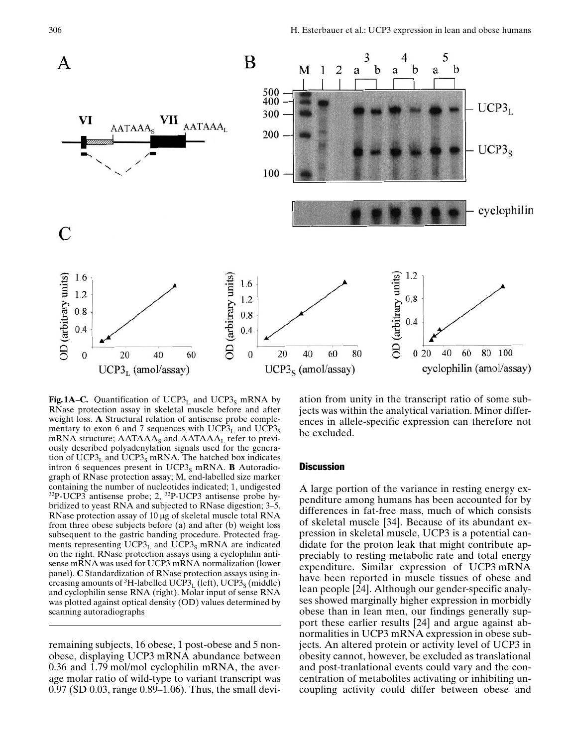

**Fig. 1A–C.** Quantification of UCP3<sub>L</sub> and UCP3<sub>S</sub> mRNA by RNase protection assay in skeletal muscle before and after weight loss. A Structural relation of antisense probe complementary to exon 6 and 7 sequences with  $UCP3_L$  and  $UCP3_S$ mRNA structure;  $AATAAA<sub>S</sub>$  and  $AATAAA<sub>L</sub>$  refer to previously described polyadenylation signals used for the generation of  $UCP3<sub>L</sub>$  and  $UCP3<sub>S</sub>$  mRNA. The hatched box indicates intron 6 sequences present in UCP3 $_{\rm S}$  mRNA. **B** Autoradiograph of RNase protection assay; M, end-labelled size marker containing the number of nucleotides indicated; 1, undigested 32P-UCP3 antisense probe; 2, 32P-UCP3 antisense probe hybridized to yeast RNA and subjected to RNase digestion;  $3-5$ , RNase protection assay of 10 µg of skeletal muscle total RNA from three obese subjects before (a) and after (b) weight loss subsequent to the gastric banding procedure. Protected fragments representing  $UCP3<sub>L</sub>$  and  $UCP3<sub>S</sub>$  mRNA are indicated on the right. RNase protection assays using a cyclophilin antisense mRNA was used for UCP3 mRNA normalization (lower panel). C Standardization of RNase protection assays using increasing amounts of <sup>3</sup>H-labelled UCP3<sub>L</sub> (left), UCP3<sub>S</sub> (middle) and cyclophilin sense RNA (right). Molar input of sense RNA was plotted against optical density (OD) values determined by scanning autoradiographs

remaining subjects, 16 obese, 1 post-obese and 5 nonobese, displaying UCP3 mRNA abundance between 0.36 and 1.79 mol/mol cyclophilin mRNA, the average molar ratio of wild-type to variant transcript was  $0.97$  (SD  $0.03$ , range  $0.89-1.06$ ). Thus, the small deviation from unity in the transcript ratio of some subjects was within the analytical variation. Minor differences in allele-specific expression can therefore not be excluded.

## **Discussion**

A large portion of the variance in resting energy expenditure among humans has been accounted for by differences in fat-free mass, much of which consists of skeletal muscle [34]. Because of its abundant expression in skeletal muscle, UCP3 is a potential candidate for the proton leak that might contribute appreciably to resting metabolic rate and total energy expenditure. Similar expression of UCP3 mRNA have been reported in muscle tissues of obese and lean people [24]. Although our gender-specific analyses showed marginally higher expression in morbidly obese than in lean men, our findings generally support these earlier results [24] and argue against abnormalities in UCP3 mRNA expression in obese subjects. An altered protein or activity level of UCP3 in obesity cannot, however, be excluded as translational and post-tranlational events could vary and the concentration of metabolites activating or inhibiting uncoupling activity could differ between obese and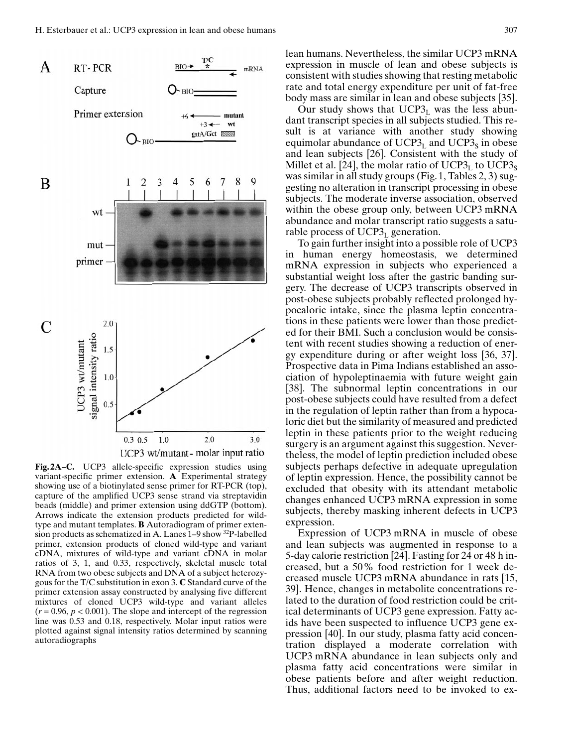

Fig. 2A–C. UCP3 allele-specific expression studies using variant-specific primer extension. A Experimental strategy showing use of a biotinylated sense primer for RT-PCR (top), capture of the amplified UCP3 sense strand via streptavidin beads (middle) and primer extension using ddGTP (bottom). Arrows indicate the extension products predicted for wildtype and mutant templates. B Autoradiogram of primer extension products as schematized in A. Lanes  $1-9$  show  $^{32}P$ -labelled primer, extension products of cloned wild-type and variant cDNA, mixtures of wild-type and variant cDNA in molar ratios of 3, 1, and 0.33, respectively, skeletal muscle total RNA from two obese subjects and DNA of a subject heterozygous for the T/C substitution in exon 3. C Standard curve of the primer extension assay constructed by analysing five different mixtures of cloned UCP3 wild-type and variant alleles  $(r = 0.96, p < 0.001)$ . The slope and intercept of the regression line was 0.53 and 0.18, respectively. Molar input ratios were plotted against signal intensity ratios determined by scanning autoradiographs

lean humans. Nevertheless, the similar UCP3 mRNA expression in muscle of lean and obese subjects is consistent with studies showing that resting metabolic rate and total energy expenditure per unit of fat-free body mass are similar in lean and obese subjects [35].

Our study shows that  $UCP3<sub>L</sub>$  was the less abundant transcript species in all subjects studied. This result is at variance with another study showing equimolar abundance of  $UCP3<sub>L</sub>$  and  $UCP3<sub>S</sub>$  in obese and lean subjects [26]. Consistent with the study of Millet et al. [24], the molar ratio of  $UCP3<sub>L</sub>$  to  $UCP3<sub>S</sub>$ was similar in all study groups (Fig. 1, Tables 2, 3) suggesting no alteration in transcript processing in obese subjects. The moderate inverse association, observed within the obese group only, between UCP3 mRNA abundance and molar transcript ratio suggests a saturable process of  $UCP3<sub>L</sub>$  generation.

To gain further insight into a possible role of UCP3 in human energy homeostasis, we determined mRNA expression in subjects who experienced a substantial weight loss after the gastric banding surgery. The decrease of UCP3 transcripts observed in post-obese subjects probably reflected prolonged hypocaloric intake, since the plasma leptin concentrations in these patients were lower than those predicted for their BMI. Such a conclusion would be consistent with recent studies showing a reduction of energy expenditure during or after weight loss [36, 37]. Prospective data in Pima Indians established an association of hypoleptinaemia with future weight gain [38]. The subnormal leptin concentrations in our post-obese subjects could have resulted from a defect in the regulation of leptin rather than from a hypocaloric diet but the similarity of measured and predicted leptin in these patients prior to the weight reducing surgery is an argument against this suggestion. Nevertheless, the model of leptin prediction included obese subjects perhaps defective in adequate upregulation of leptin expression. Hence, the possibility cannot be excluded that obesity with its attendant metabolic changes enhanced UCP3 mRNA expression in some subjects, thereby masking inherent defects in UCP3 expression.

Expression of UCP3 mRNA in muscle of obese and lean subjects was augmented in response to a 5-day calorie restriction [24]. Fasting for 24 or 48 h increased, but a 50% food restriction for 1 week decreased muscle UCP3 mRNA abundance in rats [15, 39]. Hence, changes in metabolite concentrations related to the duration of food restriction could be critical determinants of UCP3 gene expression. Fatty acids have been suspected to influence UCP3 gene expression [40]. In our study, plasma fatty acid concentration displayed a moderate correlation with UCP3 mRNA abundance in lean subjects only and plasma fatty acid concentrations were similar in obese patients before and after weight reduction. Thus, additional factors need to be invoked to ex-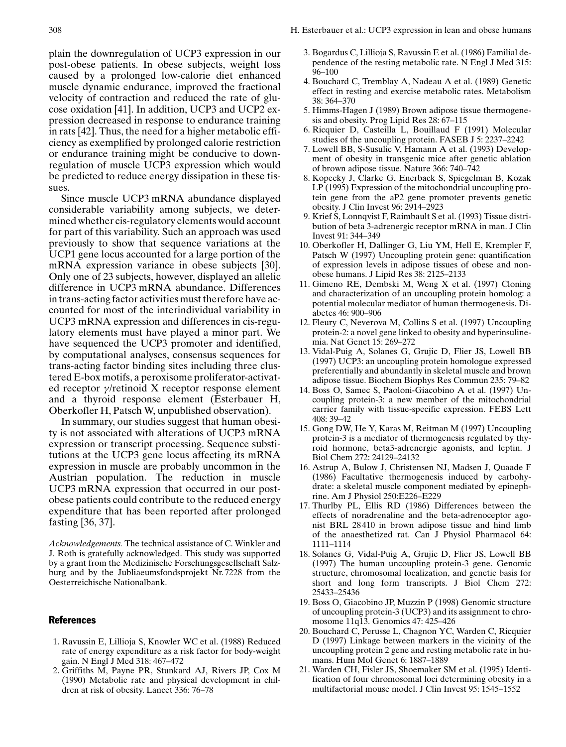plain the downregulation of UCP3 expression in our post-obese patients. In obese subjects, weight loss caused by a prolonged low-calorie diet enhanced muscle dynamic endurance, improved the fractional velocity of contraction and reduced the rate of glucose oxidation [41]. In addition, UCP3 and UCP2 expression decreased in response to endurance training in rats [42]. Thus, the need for a higher metabolic efficiency as exemplified by prolonged calorie restriction or endurance training might be conducive to downregulation of muscle UCP3 expression which would be predicted to reduce energy dissipation in these tissues.

Since muscle UCP3 mRNA abundance displayed considerable variability among subjects, we determined whether cis-regulatory elements would account for part of this variability. Such an approach was used previously to show that sequence variations at the UCP1 gene locus accounted for a large portion of the mRNA expression variance in obese subjects [30]. Only one of 23 subjects, however, displayed an allelic difference in UCP3 mRNA abundance. Differences in trans-acting factor activities must therefore have accounted for most of the interindividual variability in UCP3 mRNA expression and differences in cis-regulatory elements must have played a minor part. We have sequenced the UCP3 promoter and identified, by computational analyses, consensus sequences for trans-acting factor binding sites including three clustered E-box motifs, a peroxisome proliferator-activated receptor  $\gamma$ /retinoid X receptor response element and a thyroid response element (Esterbauer H, Oberkofler H, Patsch W, unpublished observation).

In summary, our studies suggest that human obesity is not associated with alterations of UCP3 mRNA expression or transcript processing. Sequence substitutions at the UCP3 gene locus affecting its mRNA expression in muscle are probably uncommon in the Austrian population. The reduction in muscle UCP3 mRNA expression that occurred in our postobese patients could contribute to the reduced energy expenditure that has been reported after prolonged fasting [36, 37].

Acknowledgements. The technical assistance of C. Winkler and J. Roth is gratefully acknowledged. This study was supported by a grant from the Medizinische Forschungsgesellschaft Salzburg and by the Jubliaeumsfondsprojekt Nr. 7228 from the Oesterreichische Nationalbank.

#### **References**

- 1. Ravussin E, Lillioja S, Knowler WC et al. (1988) Reduced rate of energy expenditure as a risk factor for body-weight gain. N Engl J Med 318: 467–472
- 2. Griffiths M, Payne PR, Stunkard AJ, Rivers JP, Cox M (1990) Metabolic rate and physical development in children at risk of obesity. Lancet 336: 76-78
- 3. Bogardus C, Lillioja S, Ravussin E et al. (1986) Familial dependence of the resting metabolic rate. N Engl J Med 315:  $96 - 100$
- 4. Bouchard C, Tremblay A, Nadeau A et al. (1989) Genetic effect in resting and exercise metabolic rates. Metabolism 38: 364±370
- 5. Himms-Hagen J (1989) Brown adipose tissue thermogenesis and obesity. Prog Lipid Res 28: 67-115
- 6. Ricquier D, Casteilla L, Bouillaud F (1991) Molecular studies of the uncoupling protein. FASEB J 5: 2237–2242
- 7. Lowell BB, S-Susulic V, Hamann A et al. (1993) Development of obesity in transgenic mice after genetic ablation of brown adipose tissue. Nature 366: 740–742
- 8. Kopecky J, Clarke G, Enerback S, Spiegelman B, Kozak LP (1995) Expression of the mitochondrial uncoupling protein gene from the aP2 gene promoter prevents genetic obesity. J Clin Invest 96: 2914-2923
- 9. Krief S, Lonnqvist F, Raimbault S et al. (1993) Tissue distribution of beta 3-adrenergic receptor mRNA in man. J Clin Invest 91: 344–349
- 10. Oberkofler H, Dallinger G, Liu YM, Hell E, Krempler F, Patsch W (1997) Uncoupling protein gene: quantification of expression levels in adipose tissues of obese and nonobese humans. J Lipid Res 38: 2125-2133
- 11. Gimeno RE, Dembski M, Weng X et al. (1997) Cloning and characterization of an uncoupling protein homolog: a potential molecular mediator of human thermogenesis. Diabetes 46: 900-906
- 12. Fleury C, Neverova M, Collins S et al. (1997) Uncoupling protein-2: a novel gene linked to obesity and hyperinsulinemia. Nat Genet 15: 269-272
- 13. Vidal-Puig A, Solanes G, Grujic D, Flier JS, Lowell BB (1997) UCP3: an uncoupling protein homologue expressed preferentially and abundantly in skeletal muscle and brown adipose tissue. Biochem Biophys Res Commun 235: 79-82
- 14. Boss O, Samec S, Paoloni-Giacobino A et al. (1997) Uncoupling protein-3: a new member of the mitochondrial carrier family with tissue-specific expression. FEBS Lett 408: 39±42
- 15. Gong DW, He Y, Karas M, Reitman M (1997) Uncoupling protein-3 is a mediator of thermogenesis regulated by thyroid hormone, beta3-adrenergic agonists, and leptin. J Biol Chem 272: 24129-24132
- 16. Astrup A, Bulow J, Christensen NJ, Madsen J, Quaade F (1986) Facultative thermogenesis induced by carbohydrate: a skeletal muscle component mediated by epinephrine. Am J Physiol 250:E226-E229
- 17. Thurlby PL, Ellis RD (1986) Differences between the effects of noradrenaline and the beta-adrenoceptor agonist BRL 28 410 in brown adipose tissue and hind limb of the anaesthetized rat. Can J Physiol Pharmacol 64: 1111±1114
- 18. Solanes G, Vidal-Puig A, Grujic D, Flier JS, Lowell BB (1997) The human uncoupling protein-3 gene. Genomic structure, chromosomal localization, and genetic basis for short and long form transcripts. J Biol Chem 272: 25433±25436
- 19. Boss O, Giacobino JP, Muzzin P (1998) Genomic structure of uncoupling protein-3 (UCP3) and its assignment to chromosome 11q13. Genomics 47: 425-426
- 20. Bouchard C, Perusse L, Chagnon YC, Warden C, Ricquier D (1997) Linkage between markers in the vicinity of the uncoupling protein 2 gene and resting metabolic rate in humans. Hum Mol Genet 6: 1887-1889
- 21. Warden CH, Fisler JS, Shoemaker SM et al. (1995) Identification of four chromosomal loci determining obesity in a multifactorial mouse model. J Clin Invest 95: 1545–1552